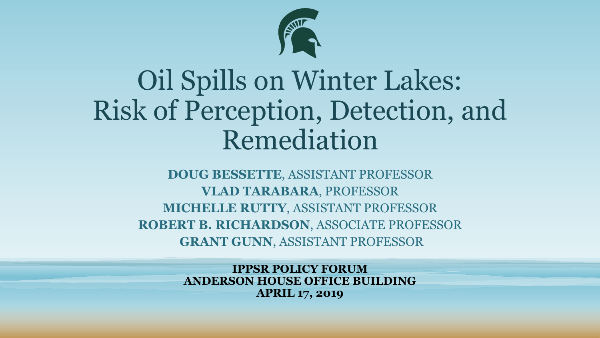

### Oil Spills on Winter Lakes: Risk of Perception, Detection, and Remediation

**DOUG BESSETTE**, ASSISTANT PROFESSOR **VLAD TARABARA**, PROFESSOR **MICHELLE RUTTY**, ASSISTANT PROFESSOR **ROBERT B. RICHARDSON**, ASSOCIATE PROFESSOR **GRANT GUNN**, ASSISTANT PROFESSOR

> **IPPSR POLICY FORUM ANDERSON HOUSE OFFICE BUILDING APRIL 17, 2019**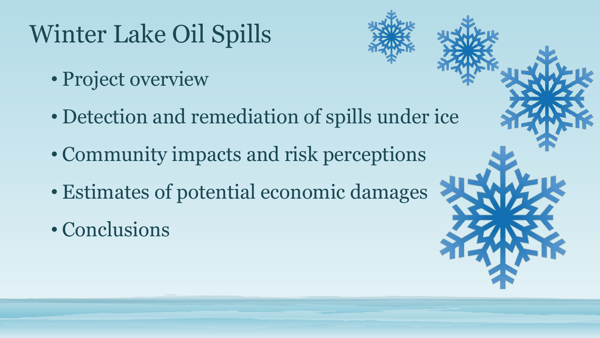## Winter Lake Oil Spills

- Project overview
- Detection and remediation of spills under ice
- Community impacts and risk perceptions
- Estimates of potential economic damages
- Conclusions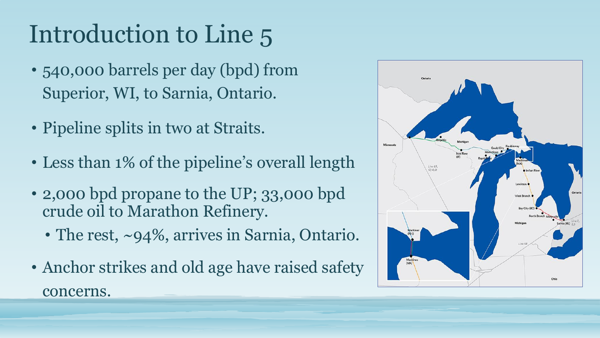# Introduction to Line 5

- 540,000 barrels per day (bpd) from Superior, WI, to Sarnia, Ontario.
- Pipeline splits in two at Straits.
- Less than 1% of the pipeline's overall length
- 2,000 bpd propane to the UP; 33,000 bpd crude oil to Marathon Refinery.
	- The rest, ~94%, arrives in Sarnia, Ontario.
- Anchor strikes and old age have raised safety concerns.

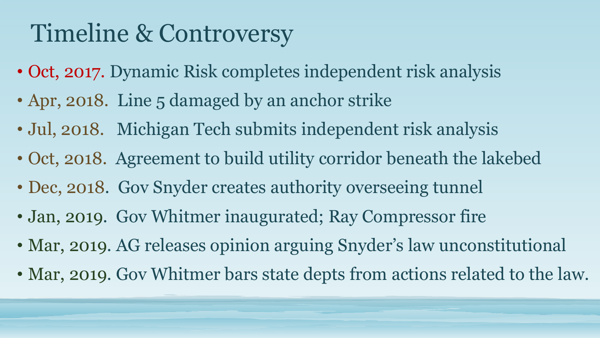### Timeline & Controversy

- Oct, 2017. Dynamic Risk completes independent risk analysis
- Apr, 2018. Line 5 damaged by an anchor strike
- Jul, 2018. Michigan Tech submits independent risk analysis
- Oct, 2018. Agreement to build utility corridor beneath the lakebed
- Dec, 2018. Gov Snyder creates authority overseeing tunnel
- Jan, 2019. Gov Whitmer inaugurated; Ray Compressor fire
- Mar, 2019. AG releases opinion arguing Snyder's law unconstitutional
- Mar, 2019. Gov Whitmer bars state depts from actions related to the law.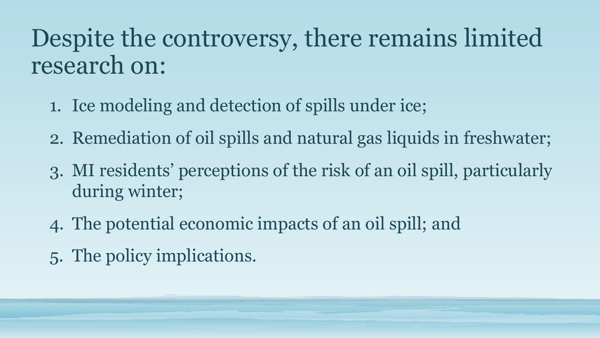#### Despite the controversy, there remains limited research on:

- 1. Ice modeling and detection of spills under ice;
- 2. Remediation of oil spills and natural gas liquids in freshwater;
- 3. MI residents' perceptions of the risk of an oil spill, particularly during winter;
- 4. The potential economic impacts of an oil spill; and
- 5. The policy implications*.*